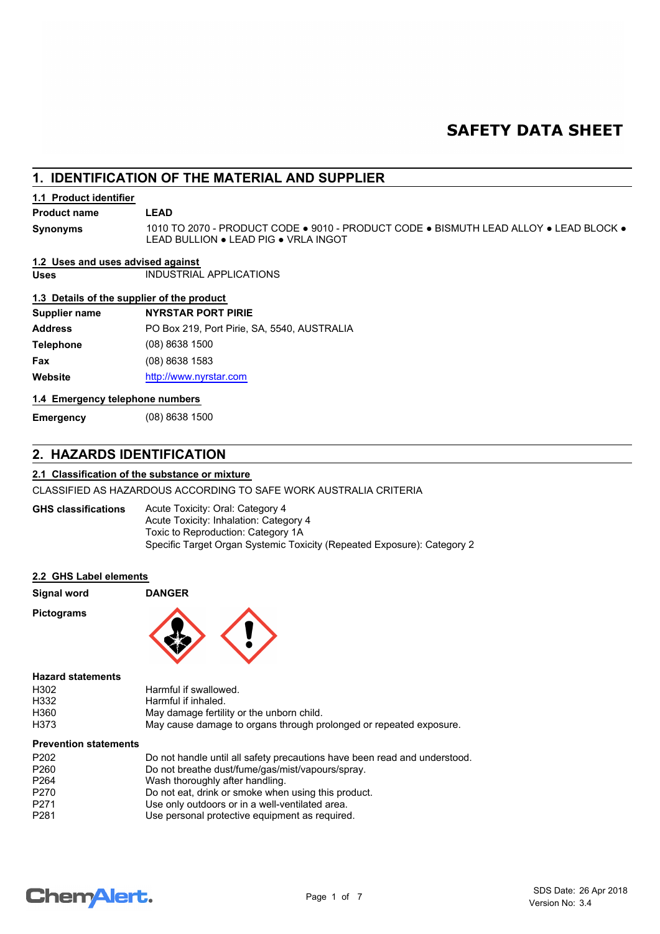# **SAFETY DATA SHEET**

# **1. IDENTIFICATION OF THE MATERIAL AND SUPPLIER**

## **1.1 Product identifier**

# **Product name LEAD**

**Synonyms**

1010 TO 2070 - PRODUCT CODE ● 9010 - PRODUCT CODE ● BISMUTH LEAD ALLOY ● LEAD BLOCK ● LEAD BULLION ● LEAD PIG ● VRLA INGOT

## **1.2 Uses and uses advised against**

**Uses** INDUSTRIAL APPLICATIONS

## **1.3 Details of the supplier of the product**

| <b>Supplier name</b> | <b>NYRSTAR PORT PIRIE</b>                   |
|----------------------|---------------------------------------------|
| <b>Address</b>       | PO Box 219, Port Pirie, SA, 5540, AUSTRALIA |
| <b>Telephone</b>     | $(08)$ 8638 1500                            |
| Fax                  | $(08)$ 8638 1583                            |
| Website              | http://www.nyrstar.com                      |
|                      |                                             |

#### **1.4 Emergency telephone numbers**

**Emergency** (08) 8638 1500

# **2. HAZARDS IDENTIFICATION**

# **2.1 Classification of the substance or mixture**

CLASSIFIED AS HAZARDOUS ACCORDING TO SAFE WORK AUSTRALIA CRITERIA

Acute Toxicity: Oral: Category 4 Acute Toxicity: Inhalation: Category 4 Toxic to Reproduction: Category 1A Specific Target Organ Systemic Toxicity (Repeated Exposure): Category 2 **GHS classifications**

#### **2.2 GHS Label elements**

| Signal word |  |
|-------------|--|
|             |  |

**Pictograms**



**Signal word DANGER**

## **Hazard statements**

| H302 | Harmful if swallowed.                                              |
|------|--------------------------------------------------------------------|
| H332 | Harmful if inhaled.                                                |
| H360 | May damage fertility or the unborn child.                          |
| H373 | May cause damage to organs through prolonged or repeated exposure. |

#### **Prevention statements**

| P <sub>202</sub> | Do not handle until all safety precautions have been read and understood. |
|------------------|---------------------------------------------------------------------------|
| P <sub>260</sub> | Do not breathe dust/fume/gas/mist/vapours/spray.                          |
| P <sub>264</sub> | Wash thoroughly after handling.                                           |
| P <sub>270</sub> | Do not eat, drink or smoke when using this product.                       |
| P <sub>271</sub> | Use only outdoors or in a well-ventilated area.                           |
| P <sub>281</sub> | Use personal protective equipment as required.                            |

# **ChemAlert.**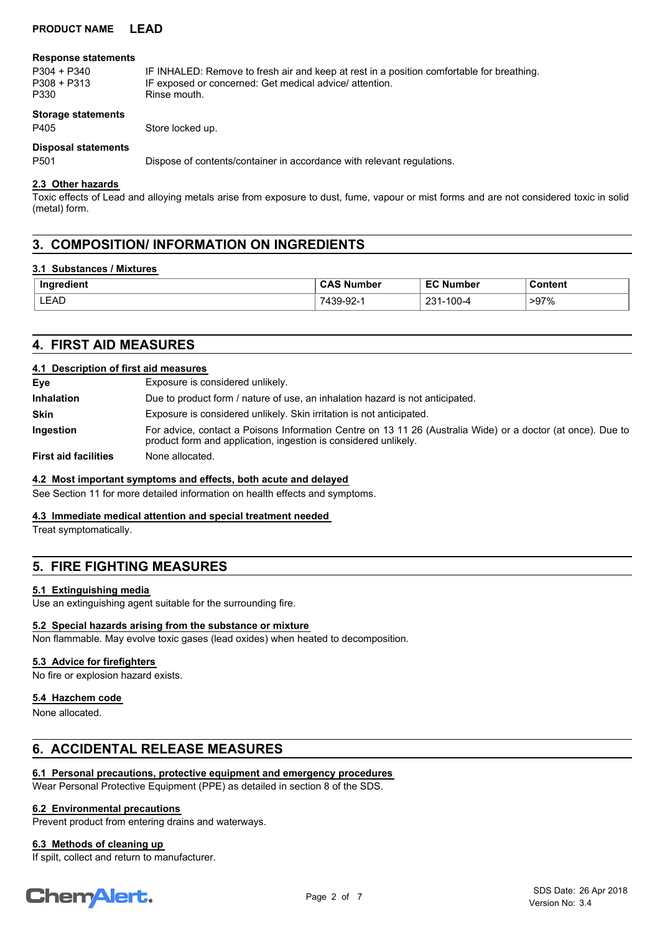# **PRODUCT NAME LEAD**

#### **Response statements**

P304 + P340 IF INHALED: Remove to fresh air and keep at rest in a position comfortable for breathing.<br>P308 + P313 IF exposed or concerned: Get medical advice/ attention. P308 + P313 IF exposed or concerned: Get medical advice/ attention.<br>P330 Binse mouth Rinse mouth

**Storage statements**

P405 Store locked up.

# **Disposal statements**

P501 Dispose of contents/container in accordance with relevant regulations.

## **2.3 Other hazards**

Toxic effects of Lead and alloying metals arise from exposure to dust, fume, vapour or mist forms and are not considered toxic in solid (metal) form.

# **3. COMPOSITION/ INFORMATION ON INGREDIENTS**

#### **3.1 Substances / Mixtures**

| Ingredient | . Number<br>◡៸                       | <b>-0.1.</b><br>Number<br>—∽  | Content |
|------------|--------------------------------------|-------------------------------|---------|
| LEAD       | nn,<br><b>코</b> 시 -<br>זכי<br>-שכ-פו | ດລາ<br>100<br>100-4<br>∍ د ت∠ | $>97\%$ |

# **4. FIRST AID MEASURES**

#### **4.1 Description of first aid measures**

| Eye                         | Exposure is considered unlikely.                                                                                                                                               |
|-----------------------------|--------------------------------------------------------------------------------------------------------------------------------------------------------------------------------|
| <b>Inhalation</b>           | Due to product form / nature of use, an inhalation hazard is not anticipated.                                                                                                  |
| <b>Skin</b>                 | Exposure is considered unlikely. Skin irritation is not anticipated.                                                                                                           |
| <b>Ingestion</b>            | For advice, contact a Poisons Information Centre on 13 11 26 (Australia Wide) or a doctor (at once). Due to<br>product form and application, ingestion is considered unlikely. |
| <b>First aid facilities</b> | None allocated.                                                                                                                                                                |

#### **4.2 Most important symptoms and effects, both acute and delayed**

See Section 11 for more detailed information on health effects and symptoms.

#### **4.3 Immediate medical attention and special treatment needed**

Treat symptomatically.

# **5. FIRE FIGHTING MEASURES**

#### **5.1 Extinguishing media**

Use an extinguishing agent suitable for the surrounding fire.

#### **5.2 Special hazards arising from the substance or mixture**

Non flammable. May evolve toxic gases (lead oxides) when heated to decomposition.

#### **5.3 Advice for firefighters**

No fire or explosion hazard exists.

# **5.4 Hazchem code**

None allocated.

# **6. ACCIDENTAL RELEASE MEASURES**

# **6.1 Personal precautions, protective equipment and emergency procedures**

Wear Personal Protective Equipment (PPE) as detailed in section 8 of the SDS.

# **6.2 Environmental precautions**

Prevent product from entering drains and waterways.

# **6.3 Methods of cleaning up**

If spilt, collect and return to manufacturer.

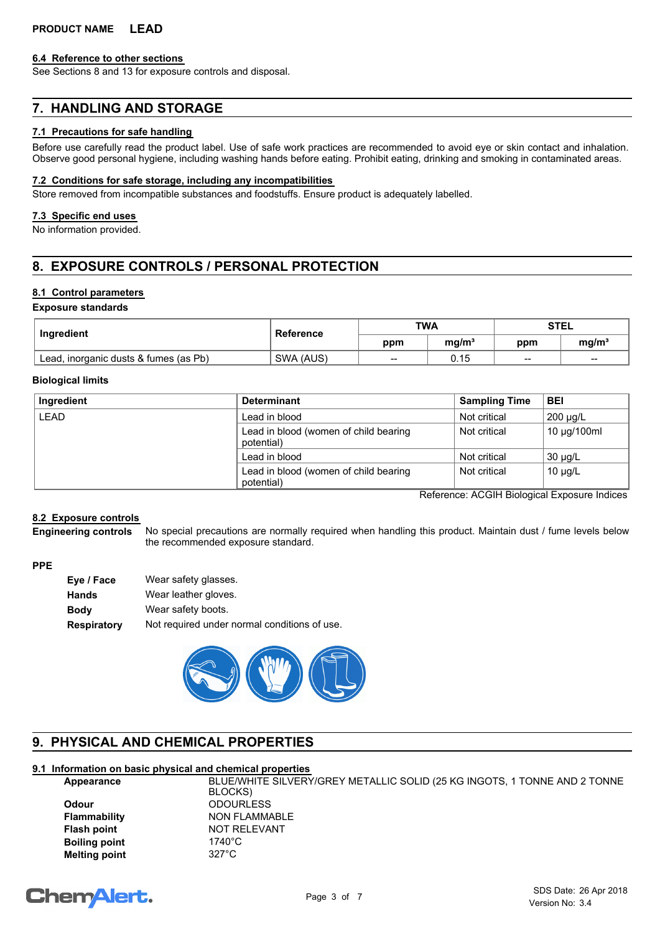#### **6.4 Reference to other sections**

See Sections 8 and 13 for exposure controls and disposal.

# **7. HANDLING AND STORAGE**

## **7.1 Precautions for safe handling**

Before use carefully read the product label. Use of safe work practices are recommended to avoid eye or skin contact and inhalation. Observe good personal hygiene, including washing hands before eating. Prohibit eating, drinking and smoking in contaminated areas.

### **7.2 Conditions for safe storage, including any incompatibilities**

Store removed from incompatible substances and foodstuffs. Ensure product is adequately labelled.

## **7.3 Specific end uses**

No information provided.

# **8. EXPOSURE CONTROLS / PERSONAL PROTECTION**

## **8.1 Control parameters**

#### **Exposure standards**

| Ingredient                            | Reference | <b>TWA</b> |                   | STEL |                   |
|---------------------------------------|-----------|------------|-------------------|------|-------------------|
|                                       |           | ppm        | mq/m <sup>3</sup> | ppm  | mq/m <sup>3</sup> |
| Lead, inorganic dusts & fumes (as Pb) | SWA (AUS) | $- -$      | 0.15              | $-$  | $-$               |

#### **Biological limits**

| Ingredient  | <b>Determinant</b>                                  | <b>Sampling Time</b> | <b>BEI</b>   |
|-------------|-----------------------------------------------------|----------------------|--------------|
| <b>LEAD</b> | Lead in blood                                       | Not critical         | 200 µg/L     |
|             | Lead in blood (women of child bearing<br>potential) | Not critical         | 10 µg/100ml  |
|             | Lead in blood                                       | Not critical         | $30 \mu g/L$ |
|             | Lead in blood (women of child bearing<br>potential) | Not critical         | $10 \mu g/L$ |

Reference: ACGIH Biological Exposure Indices

## **8.2 Exposure controls**

No special precautions are normally required when handling this product. Maintain dust / fume levels below the recommended exposure standard. **Engineering controls**

# **PPE**

| Eye / Face  | Wear safety glasses.                         |
|-------------|----------------------------------------------|
| Hands       | Wear leather gloves.                         |
| Body        | Wear safety boots.                           |
| Respiratory | Not required under normal conditions of use. |



# **9. PHYSICAL AND CHEMICAL PROPERTIES**

# **9.1 Information on basic physical and chemical properties**

| Appearance           | BLUE/WHITE SILVERY/GREY METALLIC SOLID (25 KG INGOTS, 1 TONNE AND 2 TONNE |
|----------------------|---------------------------------------------------------------------------|
|                      | BLOCKS)                                                                   |
| Odour                | <b>ODOURLESS</b>                                                          |
| Flammability         | NON FLAMMABLE                                                             |
| Flash point          | NOT RELEVANT                                                              |
| <b>Boiling point</b> | 1740°C                                                                    |
| Melting point        | $327^\circ C$                                                             |
|                      |                                                                           |

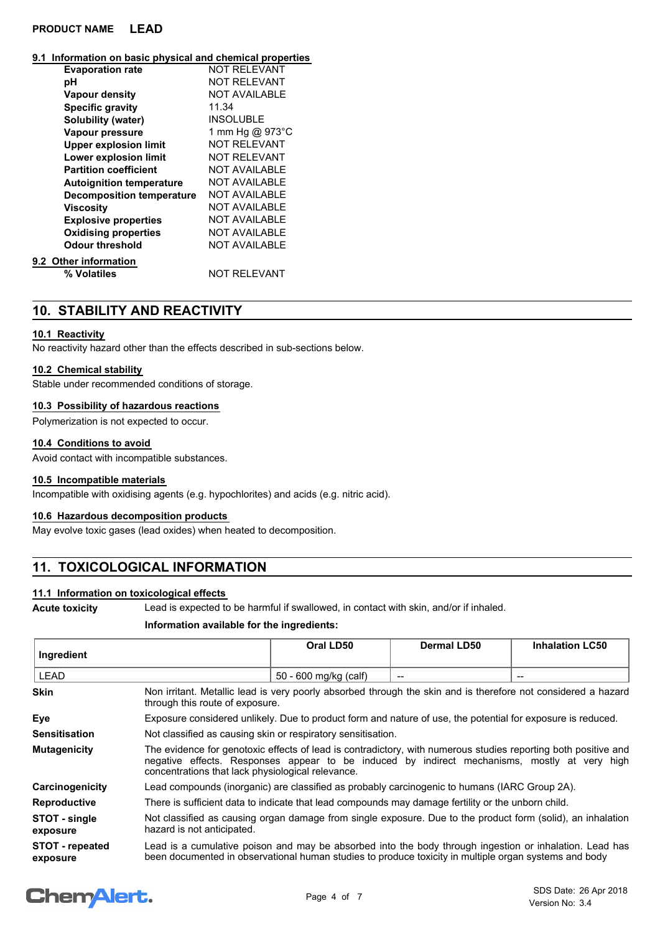# **PRODUCT NAME LEAD**

#### **9.1 Information on basic physical and chemical properties**

| <b>Evaporation rate</b>          | NOT RFI FVANT        |
|----------------------------------|----------------------|
| рH                               | <b>NOT RELEVANT</b>  |
| Vapour density                   | <b>NOT AVAILABLE</b> |
| <b>Specific gravity</b>          | 11.34                |
| Solubility (water)               | <b>INSOLUBLE</b>     |
| Vapour pressure                  | 1 mm Hg @ 973°C      |
| <b>Upper explosion limit</b>     | <b>NOT RELEVANT</b>  |
| Lower explosion limit            | NOT RFI FVANT        |
| <b>Partition coefficient</b>     | <b>NOT AVAILABLE</b> |
| <b>Autoignition temperature</b>  | <b>NOT AVAILABLE</b> |
| <b>Decomposition temperature</b> | <b>NOT AVAILABLE</b> |
| <b>Viscosity</b>                 | <b>NOT AVAILABLE</b> |
| <b>Explosive properties</b>      | <b>NOT AVAILABLE</b> |
| <b>Oxidising properties</b>      | <b>NOT AVAILABLE</b> |
| Odour threshold                  | <b>NOT AVAILABLE</b> |
| 9.2 Other information            |                      |
| % Volatiles                      | <b>NOT RELEVANT</b>  |
|                                  |                      |

# **10. STABILITY AND REACTIVITY**

## **10.1 Reactivity**

No reactivity hazard other than the effects described in sub-sections below.

# **10.2 Chemical stability**

Stable under recommended conditions of storage.

## **10.3 Possibility of hazardous reactions**

Polymerization is not expected to occur.

## **10.4 Conditions to avoid**

Avoid contact with incompatible substances.

# **10.5 Incompatible materials**

Incompatible with oxidising agents (e.g. hypochlorites) and acids (e.g. nitric acid).

#### **10.6 Hazardous decomposition products**

May evolve toxic gases (lead oxides) when heated to decomposition.

# **11. TOXICOLOGICAL INFORMATION**

# **11.1 Information on toxicological effects**

**Acute toxicity** Lead is expected to be harmful if swallowed, in contact with skin, and/or if inhaled.

## **Information available for the ingredients:**

| Ingredient                         |                                                                                                                                                                                                                                                                     | Oral LD50             | Dermal LD50 | <b>Inhalation LC50</b> |
|------------------------------------|---------------------------------------------------------------------------------------------------------------------------------------------------------------------------------------------------------------------------------------------------------------------|-----------------------|-------------|------------------------|
| <b>LEAD</b>                        |                                                                                                                                                                                                                                                                     | 50 - 600 mg/kg (calf) |             |                        |
| <b>Skin</b>                        | Non irritant. Metallic lead is very poorly absorbed through the skin and is therefore not considered a hazard<br>through this route of exposure.                                                                                                                    |                       |             |                        |
| Eye                                | Exposure considered unlikely. Due to product form and nature of use, the potential for exposure is reduced.                                                                                                                                                         |                       |             |                        |
| <b>Sensitisation</b>               | Not classified as causing skin or respiratory sensitisation.                                                                                                                                                                                                        |                       |             |                        |
| <b>Mutagenicity</b>                | The evidence for genotoxic effects of lead is contradictory, with numerous studies reporting both positive and<br>negative effects. Responses appear to be induced by indirect mechanisms, mostly at very high<br>concentrations that lack physiological relevance. |                       |             |                        |
| Carcinogenicity                    | Lead compounds (inorganic) are classified as probably carcinogenic to humans (IARC Group 2A).                                                                                                                                                                       |                       |             |                        |
| <b>Reproductive</b>                | There is sufficient data to indicate that lead compounds may damage fertility or the unborn child.                                                                                                                                                                  |                       |             |                        |
| STOT - single<br>exposure          | Not classified as causing organ damage from single exposure. Due to the product form (solid), an inhalation<br>hazard is not anticipated.                                                                                                                           |                       |             |                        |
| <b>STOT - repeated</b><br>exposure | Lead is a cumulative poison and may be absorbed into the body through ingestion or inhalation. Lead has<br>been documented in observational human studies to produce toxicity in multiple organ systems and body                                                    |                       |             |                        |

# **Chemalert.**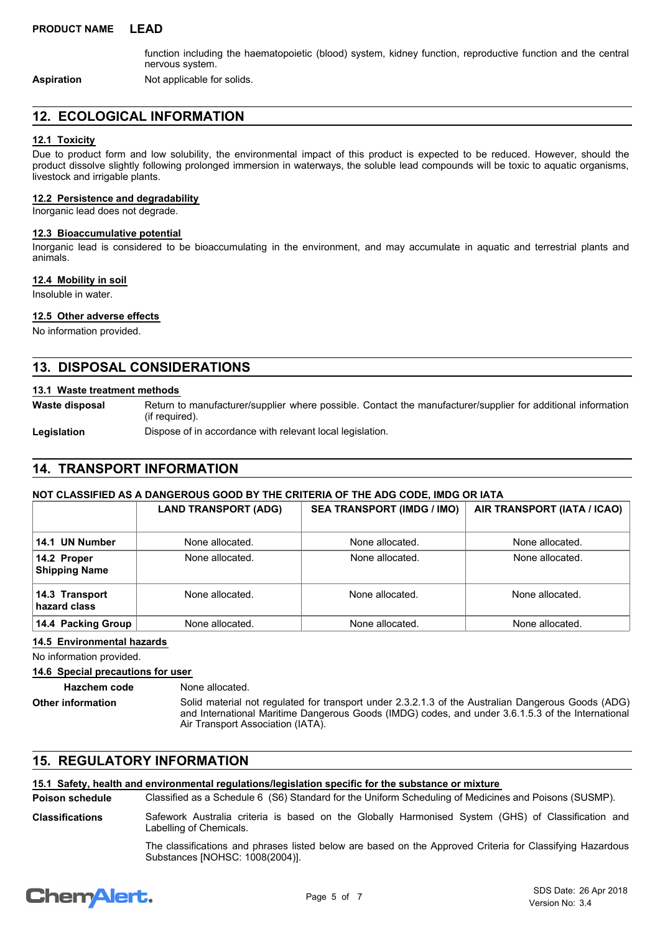function including the haematopoietic (blood) system, kidney function, reproductive function and the central nervous system.

Return to manufacturer/supplier where possible. Contact the manufacturer/supplier for additional information

**Aspiration** Not applicable for solids.

# **12. ECOLOGICAL INFORMATION**

# **12.1 Toxicity**

Due to product form and low solubility, the environmental impact of this product is expected to be reduced. However, should the product dissolve slightly following prolonged immersion in waterways, the soluble lead compounds will be toxic to aquatic organisms, livestock and irrigable plants.

#### **12.2 Persistence and degradability**

Inorganic lead does not degrade.

#### **12.3 Bioaccumulative potential**

Inorganic lead is considered to be bioaccumulating in the environment, and may accumulate in aquatic and terrestrial plants and animals.

## **12.4 Mobility in soil**

Insoluble in water.

## **12.5 Other adverse effects**

No information provided.

# **13. DISPOSAL CONSIDERATIONS**

(if required).

## **13.1 Waste treatment methods**

**Waste disposal**

Legislation **Dispose of in accordance with relevant local legislation.** 

# **14. TRANSPORT INFORMATION**

## **NOT CLASSIFIED AS A DANGEROUS GOOD BY THE CRITERIA OF THE ADG CODE, IMDG OR IATA**

|                                     | <b>LAND TRANSPORT (ADG)</b> | <b>SEA TRANSPORT (IMDG / IMO)</b> | AIR TRANSPORT (IATA / ICAO) |
|-------------------------------------|-----------------------------|-----------------------------------|-----------------------------|
| 14.1 UN Number                      | None allocated.             | None allocated.                   | None allocated.             |
| 14.2 Proper<br><b>Shipping Name</b> | None allocated.             | None allocated.                   | None allocated.             |
| 14.3 Transport<br>hazard class      | None allocated.             | None allocated.                   | None allocated.             |
| 14.4 Packing Group                  | None allocated.             | None allocated.                   | None allocated.             |

### **14.5 Environmental hazards**

No information provided.

**14.6 Special precautions for user**

**Hazchem code** None allocated.

**Other information**

Solid material not regulated for transport under 2.3.2.1.3 of the Australian Dangerous Goods (ADG) and International Maritime Dangerous Goods (IMDG) codes, and under 3.6.1.5.3 of the International Air Transport Association (IATA).

# **15. REGULATORY INFORMATION**

## **15.1 Safety, health and environmental regulations/legislation specific for the substance or mixture**

Classified as a Schedule 6 (S6) Standard for the Uniform Scheduling of Medicines and Poisons (SUSMP). **Poison schedule** Safework Australia criteria is based on the Globally Harmonised System (GHS) of Classification and Labelling of Chemicals. **Classifications**

> The classifications and phrases listed below are based on the Approved Criteria for Classifying Hazardous Substances [NOHSC: 1008(2004)].

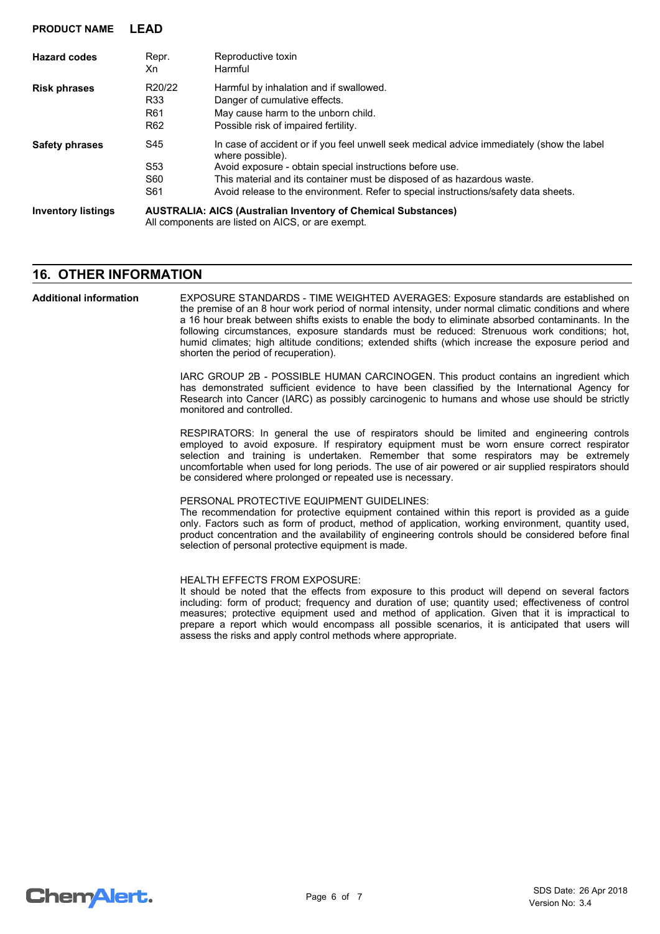| <b>Hazard codes</b>       | Repr.<br>Xn                                                                                                               | Reproductive toxin<br>Harmful                                                                                                                                                                                                                                                                                                               |  |
|---------------------------|---------------------------------------------------------------------------------------------------------------------------|---------------------------------------------------------------------------------------------------------------------------------------------------------------------------------------------------------------------------------------------------------------------------------------------------------------------------------------------|--|
| <b>Risk phrases</b>       | R20/22<br>R33<br>R <sub>61</sub><br>R <sub>62</sub>                                                                       | Harmful by inhalation and if swallowed.<br>Danger of cumulative effects.<br>May cause harm to the unborn child.<br>Possible risk of impaired fertility.                                                                                                                                                                                     |  |
| <b>Safety phrases</b>     | S45<br>S <sub>53</sub><br>S60<br>S61                                                                                      | In case of accident or if you feel unwell seek medical advice immediately (show the label<br>where possible).<br>Avoid exposure - obtain special instructions before use.<br>This material and its container must be disposed of as hazardous waste.<br>Avoid release to the environment. Refer to special instructions/safety data sheets. |  |
| <b>Inventory listings</b> | <b>AUSTRALIA: AICS (Australian Inventory of Chemical Substances)</b><br>All components are listed on AICS, or are exempt. |                                                                                                                                                                                                                                                                                                                                             |  |

# **16. OTHER INFORMATION**

**PRODUCT NAME LEAD**

EXPOSURE STANDARDS - TIME WEIGHTED AVERAGES: Exposure standards are established on the premise of an 8 hour work period of normal intensity, under normal climatic conditions and where a 16 hour break between shifts exists to enable the body to eliminate absorbed contaminants. In the following circumstances, exposure standards must be reduced: Strenuous work conditions; hot, humid climates; high altitude conditions; extended shifts (which increase the exposure period and shorten the period of recuperation). **Additional information**

> IARC GROUP 2B - POSSIBLE HUMAN CARCINOGEN. This product contains an ingredient which has demonstrated sufficient evidence to have been classified by the International Agency for Research into Cancer (IARC) as possibly carcinogenic to humans and whose use should be strictly monitored and controlled.

> RESPIRATORS: In general the use of respirators should be limited and engineering controls employed to avoid exposure. If respiratory equipment must be worn ensure correct respirator selection and training is undertaken. Remember that some respirators may be extremely uncomfortable when used for long periods. The use of air powered or air supplied respirators should be considered where prolonged or repeated use is necessary.

#### PERSONAL PROTECTIVE EQUIPMENT GUIDELINES:

The recommendation for protective equipment contained within this report is provided as a guide only. Factors such as form of product, method of application, working environment, quantity used, product concentration and the availability of engineering controls should be considered before final selection of personal protective equipment is made.

#### HEALTH EFFECTS FROM EXPOSURE:

It should be noted that the effects from exposure to this product will depend on several factors including: form of product; frequency and duration of use; quantity used; effectiveness of control measures; protective equipment used and method of application. Given that it is impractical to prepare a report which would encompass all possible scenarios, it is anticipated that users will assess the risks and apply control methods where appropriate.